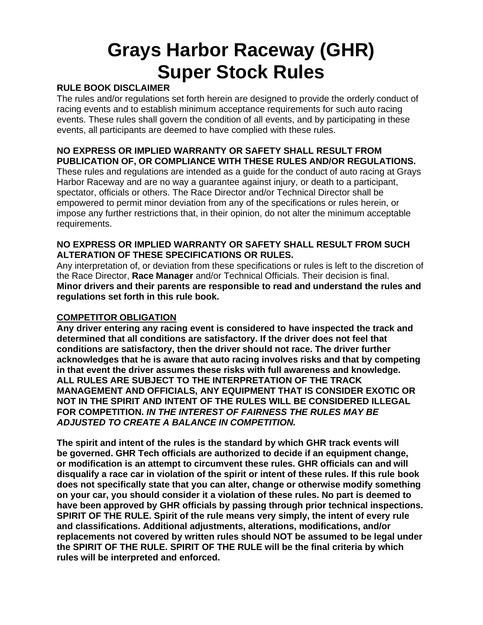# **Grays Harbor Raceway (GHR) Super Stock Rules**

#### **RULE BOOK DISCLAIMER**

The rules and/or regulations set forth herein are designed to provide the orderly conduct of racing events and to establish minimum acceptance requirements for such auto racing events. These rules shall govern the condition of all events, and by participating in these events, all participants are deemed to have complied with these rules.

# **NO EXPRESS OR IMPLIED WARRANTY OR SAFETY SHALL RESULT FROM PUBLICATION OF, OR COMPLIANCE WITH THESE RULES AND/OR REGULATIONS.**

These rules and regulations are intended as a guide for the conduct of auto racing at Grays Harbor Raceway and are no way a guarantee against injury, or death to a participant, spectator, officials or others. The Race Director and/or Technical Director shall be empowered to permit minor deviation from any of the specifications or rules herein, or impose any further restrictions that, in their opinion, do not alter the minimum acceptable requirements.

#### **NO EXPRESS OR IMPLIED WARRANTY OR SAFETY SHALL RESULT FROM SUCH ALTERATION OF THESE SPECIFICATIONS OR RULES.**

Any interpretation of, or deviation from these specifications or rules is left to the discretion of the Race Director, **Race Manager** and/or Technical Officials. Their decision is final. **Minor drivers and their parents are responsible to read and understand the rules and regulations set forth in this rule book.**

# **COMPETITOR OBLIGATION**

**Any driver entering any racing event is considered to have inspected the track and determined that all conditions are satisfactory. If the driver does not feel that conditions are satisfactory, then the driver should not race. The driver further acknowledges that he is aware that auto racing involves risks and that by competing in that event the driver assumes these risks with full awareness and knowledge. ALL RULES ARE SUBJECT TO THE INTERPRETATION OF THE TRACK MANAGEMENT AND OFFICIALS, ANY EQUIPMENT THAT IS CONSIDER EXOTIC OR NOT IN THE SPIRIT AND INTENT OF THE RULES WILL BE CONSIDERED ILLEGAL FOR COMPETITION.** *IN THE INTEREST OF FAIRNESS THE RULES MAY BE ADJUSTED TO CREATE A BALANCE IN COMPETITION.*

**The spirit and intent of the rules is the standard by which GHR track events will be governed. GHR Tech officials are authorized to decide if an equipment change, or modification is an attempt to circumvent these rules. GHR officials can and will disqualify a race car in violation of the spirit or intent of these rules. If this rule book does not specifically state that you can alter, change or otherwise modify something on your car, you should consider it a violation of these rules. No part is deemed to have been approved by GHR officials by passing through prior technical inspections. SPIRIT OF THE RULE. Spirit of the rule means very simply, the intent of every rule and classifications. Additional adjustments, alterations, modifications, and/or replacements not covered by written rules should NOT be assumed to be legal under the SPIRIT OF THE RULE. SPIRIT OF THE RULE will be the final criteria by which rules will be interpreted and enforced.**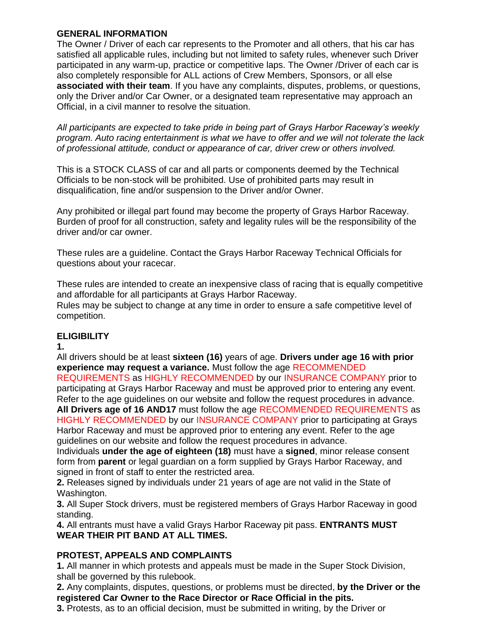#### **GENERAL INFORMATION**

The Owner / Driver of each car represents to the Promoter and all others, that his car has satisfied all applicable rules, including but not limited to safety rules, whenever such Driver participated in any warm-up, practice or competitive laps. The Owner /Driver of each car is also completely responsible for ALL actions of Crew Members, Sponsors, or all else **associated with their team**. If you have any complaints, disputes, problems, or questions, only the Driver and/or Car Owner, or a designated team representative may approach an Official, in a civil manner to resolve the situation.

*All participants are expected to take pride in being part of Grays Harbor Raceway's weekly program. Auto racing entertainment is what we have to offer and we will not tolerate the lack of professional attitude, conduct or appearance of car, driver crew or others involved.*

This is a STOCK CLASS of car and all parts or components deemed by the Technical Officials to be non-stock will be prohibited. Use of prohibited parts may result in disqualification, fine and/or suspension to the Driver and/or Owner.

Any prohibited or illegal part found may become the property of Grays Harbor Raceway. Burden of proof for all construction, safety and legality rules will be the responsibility of the driver and/or car owner.

These rules are a guideline. Contact the Grays Harbor Raceway Technical Officials for questions about your racecar.

These rules are intended to create an inexpensive class of racing that is equally competitive and affordable for all participants at Grays Harbor Raceway.

Rules may be subject to change at any time in order to ensure a safe competitive level of competition.

# **ELIGIBILITY**

**1.**

All drivers should be at least **sixteen (16)** years of age. **Drivers under age 16 with prior experience may request a variance.** Must follow the age RECOMMENDED REQUIREMENTS as HIGHLY RECOMMENDED by our INSURANCE COMPANY prior to participating at Grays Harbor Raceway and must be approved prior to entering any event. Refer to the age guidelines on our website and follow the request procedures in advance. **All Drivers age of 16 AND17** must follow the age RECOMMENDED REQUIREMENTS as HIGHLY RECOMMENDED by our INSURANCE COMPANY prior to participating at Grays Harbor Raceway and must be approved prior to entering any event. Refer to the age guidelines on our website and follow the request procedures in advance.

Individuals **under the age of eighteen (18)** must have a **signed**, minor release consent form from **parent** or legal guardian on a form supplied by Grays Harbor Raceway, and signed in front of staff to enter the restricted area.

**2.** Releases signed by individuals under 21 years of age are not valid in the State of Washington.

**3.** All Super Stock drivers, must be registered members of Grays Harbor Raceway in good standing.

**4.** All entrants must have a valid Grays Harbor Raceway pit pass. **ENTRANTS MUST WEAR THEIR PIT BAND AT ALL TIMES.**

# **PROTEST, APPEALS AND COMPLAINTS**

**1.** All manner in which protests and appeals must be made in the Super Stock Division, shall be governed by this rulebook.

**2.** Any complaints, disputes, questions, or problems must be directed, **by the Driver or the registered Car Owner to the Race Director or Race Official in the pits.**

**3.** Protests, as to an official decision, must be submitted in writing, by the Driver or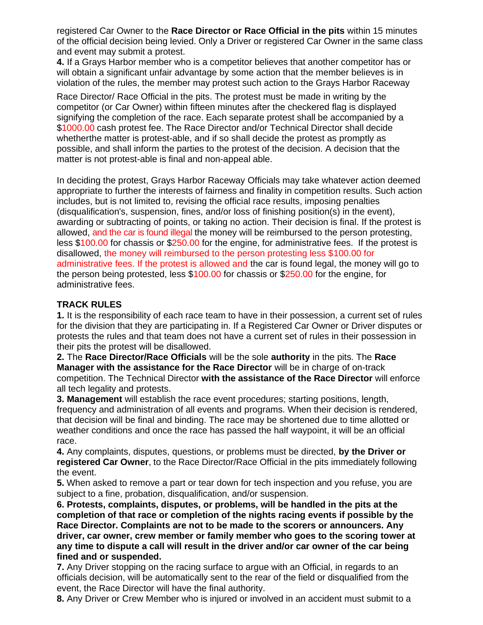registered Car Owner to the **Race Director or Race Official in the pits** within 15 minutes of the official decision being levied. Only a Driver or registered Car Owner in the same class and event may submit a protest.

**4.** If a Grays Harbor member who is a competitor believes that another competitor has or will obtain a significant unfair advantage by some action that the member believes is in violation of the rules, the member may protest such action to the Grays Harbor Raceway

Race Director/ Race Official in the pits. The protest must be made in writing by the competitor (or Car Owner) within fifteen minutes after the checkered flag is displayed signifying the completion of the race. Each separate protest shall be accompanied by a \$1000.00 cash protest fee. The Race Director and/or Technical Director shall decide whetherthe matter is protest-able, and if so shall decide the protest as promptly as possible, and shall inform the parties to the protest of the decision. A decision that the matter is not protest-able is final and non-appeal able.

In deciding the protest, Grays Harbor Raceway Officials may take whatever action deemed appropriate to further the interests of fairness and finality in competition results. Such action includes, but is not limited to, revising the official race results, imposing penalties (disqualification's, suspension, fines, and/or loss of finishing position(s) in the event), awarding or subtracting of points, or taking no action. Their decision is final. If the protest is allowed, and the car is found illegal the money will be reimbursed to the person protesting, less \$100.00 for chassis or \$250.00 for the engine, for administrative fees. If the protest is disallowed, the money will reimbursed to the person protesting less \$100.00 for administrative fees. If the protest is allowed and the car is found legal, the money will go to the person being protested, less \$100.00 for chassis or \$250.00 for the engine, for administrative fees.

# **TRACK RULES**

**1.** It is the responsibility of each race team to have in their possession, a current set of rules for the division that they are participating in. If a Registered Car Owner or Driver disputes or protests the rules and that team does not have a current set of rules in their possession in their pits the protest will be disallowed.

**2.** The **Race Director/Race Officials** will be the sole **authority** in the pits. The **Race Manager with the assistance for the Race Director** will be in charge of on-track competition. The Technical Director **with the assistance of the Race Director** will enforce all tech legality and protests.

**3. Management** will establish the race event procedures; starting positions, length, frequency and administration of all events and programs. When their decision is rendered, that decision will be final and binding. The race may be shortened due to time allotted or weather conditions and once the race has passed the half waypoint, it will be an official race.

**4.** Any complaints, disputes, questions, or problems must be directed, **by the Driver or registered Car Owner**, to the Race Director/Race Official in the pits immediately following the event.

**5.** When asked to remove a part or tear down for tech inspection and you refuse, you are subject to a fine, probation, disqualification, and/or suspension.

**6. Protests, complaints, disputes, or problems, will be handled in the pits at the completion of that race or completion of the nights racing events if possible by the Race Director. Complaints are not to be made to the scorers or announcers. Any driver, car owner, crew member or family member who goes to the scoring tower at any time to dispute a call will result in the driver and/or car owner of the car being fined and or suspended.**

**7.** Any Driver stopping on the racing surface to argue with an Official, in regards to an officials decision, will be automatically sent to the rear of the field or disqualified from the event, the Race Director will have the final authority.

**8.** Any Driver or Crew Member who is injured or involved in an accident must submit to a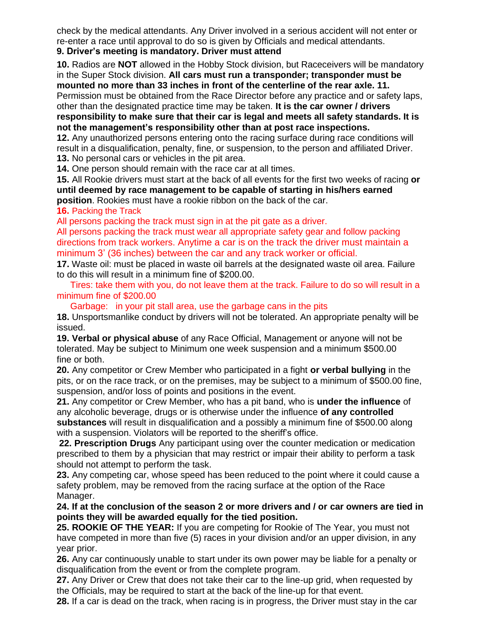check by the medical attendants. Any Driver involved in a serious accident will not enter or re-enter a race until approval to do so is given by Officials and medical attendants. **9. Driver's meeting is mandatory. Driver must attend**

**10.** Radios are **NOT** allowed in the Hobby Stock division, but Raceceivers will be mandatory in the Super Stock division. **All cars must run a transponder; transponder must be mounted no more than 33 inches in front of the centerline of the rear axle. 11.**

Permission must be obtained from the Race Director before any practice and or safety laps, other than the designated practice time may be taken. **It is the car owner / drivers responsibility to make sure that their car is legal and meets all safety standards. It is not the management's responsibility other than at post race inspections.**

**12.** Any unauthorized persons entering onto the racing surface during race conditions will result in a disqualification, penalty, fine, or suspension, to the person and affiliated Driver. **13.** No personal cars or vehicles in the pit area.

**14.** One person should remain with the race car at all times.

**15.** All Rookie drivers must start at the back of all events for the first two weeks of racing **or until deemed by race management to be capable of starting in his/hers earned position**. Rookies must have a rookie ribbon on the back of the car.

**16.** Packing the Track

All persons packing the track must sign in at the pit gate as a driver.

All persons packing the track must wear all appropriate safety gear and follow packing directions from track workers. Anytime a car is on the track the driver must maintain a minimum 3' (36 inches) between the car and any track worker or official.

**17.** Waste oil: must be placed in waste oil barrels at the designated waste oil area. Failure to do this will result in a minimum fine of \$200.00.

Tires: take them with you, do not leave them at the track. Failure to do so will result in a minimum fine of \$200.00

Garbage: in your pit stall area, use the garbage cans in the pits

**18.** Unsportsmanlike conduct by drivers will not be tolerated. An appropriate penalty will be issued.

**19. Verbal or physical abuse** of any Race Official, Management or anyone will not be tolerated. May be subject to Minimum one week suspension and a minimum \$500.00 fine or both.

**20.** Any competitor or Crew Member who participated in a fight **or verbal bullying** in the pits, or on the race track, or on the premises, may be subject to a minimum of \$500.00 fine, suspension, and/or loss of points and positions in the event.

**21.** Any competitor or Crew Member, who has a pit band, who is **under the influence** of any alcoholic beverage, drugs or is otherwise under the influence **of any controlled substances** will result in disqualification and a possibly a minimum fine of \$500.00 along with a suspension. Violators will be reported to the sheriff's office.

**22. Prescription Drugs** Any participant using over the counter medication or medication prescribed to them by a physician that may restrict or impair their ability to perform a task should not attempt to perform the task.

**23.** Any competing car, whose speed has been reduced to the point where it could cause a safety problem, may be removed from the racing surface at the option of the Race Manager.

**24. If at the conclusion of the season 2 or more drivers and / or car owners are tied in points they will be awarded equally for the tied position.**

**25. ROOKIE OF THE YEAR:** If you are competing for Rookie of The Year, you must not have competed in more than five (5) races in your division and/or an upper division, in any year prior.

**26.** Any car continuously unable to start under its own power may be liable for a penalty or disqualification from the event or from the complete program.

**27.** Any Driver or Crew that does not take their car to the line-up grid, when requested by the Officials, may be required to start at the back of the line-up for that event.

**28.** If a car is dead on the track, when racing is in progress, the Driver must stay in the car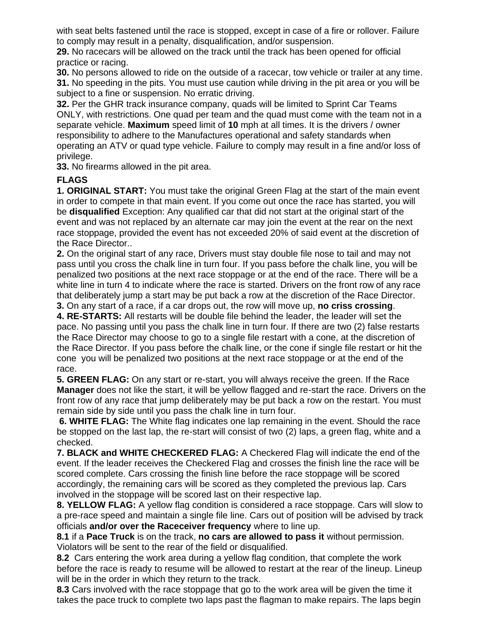with seat belts fastened until the race is stopped, except in case of a fire or rollover. Failure to comply may result in a penalty, disqualification, and/or suspension.

**29.** No racecars will be allowed on the track until the track has been opened for official practice or racing.

**30.** No persons allowed to ride on the outside of a racecar, tow vehicle or trailer at any time. **31.** No speeding in the pits. You must use caution while driving in the pit area or you will be subject to a fine or suspension. No erratic driving.

**32.** Per the GHR track insurance company, quads will be limited to Sprint Car Teams ONLY, with restrictions. One quad per team and the quad must come with the team not in a separate vehicle. **Maximum** speed limit of **10** mph at all times. It is the drivers / owner responsibility to adhere to the Manufactures operational and safety standards when operating an ATV or quad type vehicle. Failure to comply may result in a fine and/or loss of privilege.

**33.** No firearms allowed in the pit area.

# **FLAGS**

**1. ORIGINAL START:** You must take the original Green Flag at the start of the main event in order to compete in that main event. If you come out once the race has started, you will be **disqualified** Exception: Any qualified car that did not start at the original start of the event and was not replaced by an alternate car may join the event at the rear on the next race stoppage, provided the event has not exceeded 20% of said event at the discretion of the Race Director..

**2.** On the original start of any race, Drivers must stay double file nose to tail and may not pass until you cross the chalk line in turn four. If you pass before the chalk line, you will be penalized two positions at the next race stoppage or at the end of the race. There will be a white line in turn 4 to indicate where the race is started. Drivers on the front row of any race that deliberately jump a start may be put back a row at the discretion of the Race Director. **3.** On any start of a race, if a car drops out, the row will move up, **no criss crossing**.

**4. RE-STARTS:** All restarts will be double file behind the leader, the leader will set the pace. No passing until you pass the chalk line in turn four. If there are two (2) false restarts the Race Director may choose to go to a single file restart with a cone, at the discretion of the Race Director. If you pass before the chalk line, or the cone if single file restart or hit the cone you will be penalized two positions at the next race stoppage or at the end of the race.

**5. GREEN FLAG:** On any start or re-start, you will always receive the green. If the Race **Manager** does not like the start, it will be yellow flagged and re-start the race. Drivers on the front row of any race that jump deliberately may be put back a row on the restart. You must remain side by side until you pass the chalk line in turn four.

**6. WHITE FLAG:** The White flag indicates one lap remaining in the event. Should the race be stopped on the last lap, the re-start will consist of two (2) laps, a green flag, white and a checked.

**7. BLACK and WHITE CHECKERED FLAG:** A Checkered Flag will indicate the end of the event. If the leader receives the Checkered Flag and crosses the finish line the race will be scored complete. Cars crossing the finish line before the race stoppage will be scored accordingly, the remaining cars will be scored as they completed the previous lap. Cars involved in the stoppage will be scored last on their respective lap.

**8. YELLOW FLAG:** A yellow flag condition is considered a race stoppage. Cars will slow to a pre-race speed and maintain a single file line. Cars out of position will be advised by track officials **and/or over the Raceceiver frequency** where to line up.

**8.1** if a **Pace Truck** is on the track, **no cars are allowed to pass it** without permission. Violators will be sent to the rear of the field or disqualified.

**8.2** Cars entering the work area during a yellow flag condition, that complete the work before the race is ready to resume will be allowed to restart at the rear of the lineup. Lineup will be in the order in which they return to the track.

**8.3** Cars involved with the race stoppage that go to the work area will be given the time it takes the pace truck to complete two laps past the flagman to make repairs. The laps begin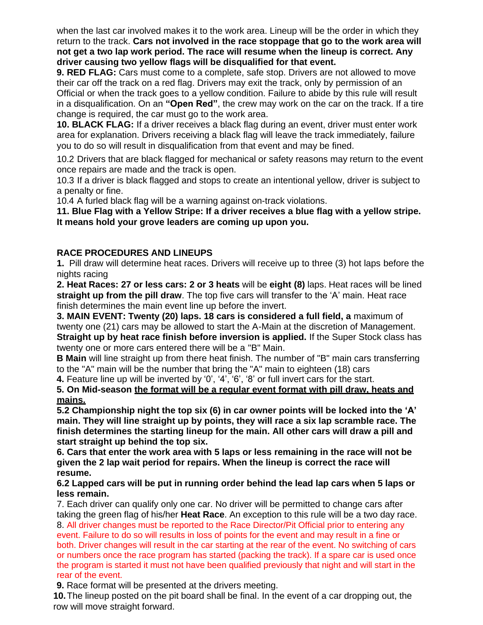when the last car involved makes it to the work area. Lineup will be the order in which they return to the track. **Cars not involved in the race stoppage that go to the work area will not get a two lap work period. The race will resume when the lineup is correct. Any driver causing two yellow flags will be disqualified for that event.**

**9. RED FLAG:** Cars must come to a complete, safe stop. Drivers are not allowed to move their car off the track on a red flag. Drivers may exit the track, only by permission of an Official or when the track goes to a yellow condition. Failure to abide by this rule will result in a disqualification. On an **"Open Red"**, the crew may work on the car on the track. If a tire change is required, the car must go to the work area.

**10. BLACK FLAG:** If a driver receives a black flag during an event, driver must enter work area for explanation. Drivers receiving a black flag will leave the track immediately, failure you to do so will result in disqualification from that event and may be fined.

10.2 Drivers that are black flagged for mechanical or safety reasons may return to the event once repairs are made and the track is open.

10.3 If a driver is black flagged and stops to create an intentional yellow, driver is subject to a penalty or fine.

10.4 A furled black flag will be a warning against on-track violations.

**11. Blue Flag with a Yellow Stripe: If a driver receives a blue flag with a yellow stripe. It means hold your grove leaders are coming up upon you.**

# **RACE PROCEDURES AND LINEUPS**

**1.** Pill draw will determine heat races. Drivers will receive up to three (3) hot laps before the nights racing

**2. Heat Races: 27 or less cars: 2 or 3 heats** will be **eight (8)** laps. Heat races will be lined **straight up from the pill draw**. The top five cars will transfer to the 'A' main. Heat race finish determines the main event line up before the invert.

**3. MAIN EVENT: Twenty (20) laps. 18 cars is considered a full field, a** maximum of twenty one (21) cars may be allowed to start the A-Main at the discretion of Management. **Straight up by heat race finish before inversion is applied.** If the Super Stock class has twenty one or more cars entered there will be a "B" Main.

**B Main** will line straight up from there heat finish. The number of "B" main cars transferring to the "A" main will be the number that bring the "A" main to eighteen (18) cars

**4.** Feature line up will be inverted by '0', '4', '6', '8' or full invert cars for the start.

#### **5. On Mid-season the format will be a regular event format with pill draw, heats and mains.**

**5.2 Championship night the top six (6) in car owner points will be locked into the 'A' main. They will line straight up by points, they will race a six lap scramble race. The finish determines the starting lineup for the main. All other cars will draw a pill and start straight up behind the top six.**

**6. Cars that enter the work area with 5 laps or less remaining in the race will not be given the 2 lap wait period for repairs. When the lineup is correct the race will resume.**

#### **6.2 Lapped cars will be put in running order behind the lead lap cars when 5 laps or less remain.**

7. Each driver can qualify only one car. No driver will be permitted to change cars after taking the green flag of his/her **Heat Race**. An exception to this rule will be a two day race. 8. All driver changes must be reported to the Race Director/Pit Official prior to entering any event. Failure to do so will results in loss of points for the event and may result in a fine or both. Driver changes will result in the car starting at the rear of the event. No switching of cars or numbers once the race program has started (packing the track). If a spare car is used once the program is started it must not have been qualified previously that night and will start in the rear of the event.

**9.** Race format will be presented at the drivers meeting.

**10.**The lineup posted on the pit board shall be final. In the event of a car dropping out, the row will move straight forward.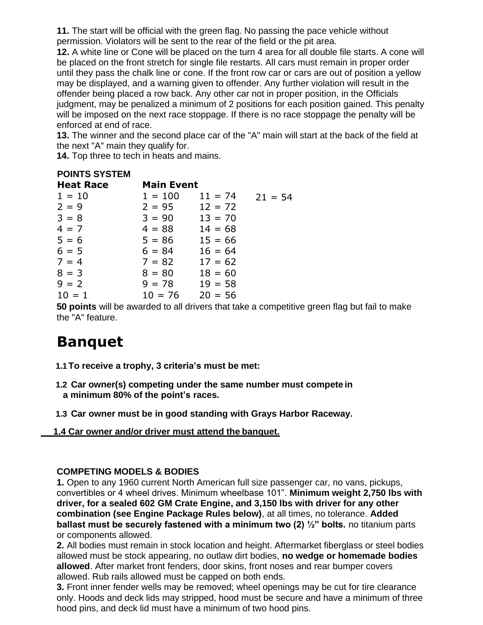**11.** The start will be official with the green flag. No passing the pace vehicle without permission. Violators will be sent to the rear of the field or the pit area.

**12.** A white line or Cone will be placed on the turn 4 area for all double file starts. A cone will be placed on the front stretch for single file restarts. All cars must remain in proper order until they pass the chalk line or cone. If the front row car or cars are out of position a yellow may be displayed, and a warning given to offender. Any further violation will result in the offender being placed a row back. Any other car not in proper position, in the Officials judgment, may be penalized a minimum of 2 positions for each position gained. This penalty will be imposed on the next race stoppage. If there is no race stoppage the penalty will be enforced at end of race.

**13.** The winner and the second place car of the "A" main will start at the back of the field at the next "A" main they qualify for.

**14.** Top three to tech in heats and mains.

# **POINTS SYSTEM**

| <b>Heat Race</b> | <b>Main Event</b> |           |           |
|------------------|-------------------|-----------|-----------|
| $1 = 10$         | $1 = 100$         | $11 = 74$ | $21 = 54$ |
| $2 = 9$          | $2 = 95$          | $12 = 72$ |           |
| $3 = 8$          | $3 = 90$          | $13 = 70$ |           |
| $4 = 7$          | $4 = 88$          | $14 = 68$ |           |
| $5 = 6$          | $5 = 86$          | $15 = 66$ |           |
| $6 = 5$          | $6 = 84$          | $16 = 64$ |           |
| $7 = 4$          | $7 = 82$          | $17 = 62$ |           |
| $8 = 3$          | $8 = 80$          | $18 = 60$ |           |
| $9 = 2$          | $9 = 78$          | $19 = 58$ |           |
| $10 = 1$         | $10 = 76$         | $20 = 56$ |           |

**50 points** will be awarded to all drivers that take a competitive green flag but fail to make the "A" feature.

# **Banquet**

- **1.1To receive a trophy, 3 criteria's must be met:**
- **1.2 Car owner(s) competing under the same number must compete in a minimum 80% of the point's races.**
- **1.3 Car owner must be in good standing with Grays Harbor Raceway.**

# **1.4 Car owner and/or driver must attend the banquet.**

# **COMPETING MODELS & BODIES**

**1.** Open to any 1960 current North American full size passenger car, no vans, pickups, convertibles or 4 wheel drives. Minimum wheelbase 101". **Minimum weight 2,750 lbs with driver, for a sealed 602 GM Crate Engine, and 3,150 lbs with driver for any other combination (see Engine Package Rules below)**, at all times, no tolerance. **Added ballast must be securely fastened with a minimum two (2) ½" bolts.** no titanium parts or components allowed.

**2.** All bodies must remain in stock location and height. Aftermarket fiberglass or steel bodies allowed must be stock appearing, no outlaw dirt bodies, **no wedge or homemade bodies allowed**. After market front fenders, door skins, front noses and rear bumper covers allowed. Rub rails allowed must be capped on both ends.

**3.** Front inner fender wells may be removed; wheel openings may be cut for tire clearance only. Hoods and deck lids may stripped, hood must be secure and have a minimum of three hood pins, and deck lid must have a minimum of two hood pins.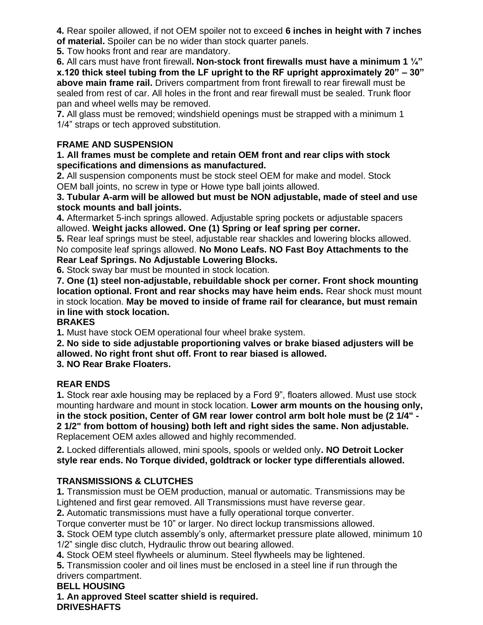**4.** Rear spoiler allowed, if not OEM spoiler not to exceed **6 inches in height with 7 inches of material.** Spoiler can be no wider than stock quarter panels.

**5.** Tow hooks front and rear are mandatory.

**6.** All cars must have front firewall**. Non-stock front firewalls must have a minimum 1 ¼"**

**x.120 thick steel tubing from the LF upright to the RF upright approximately 20" – 30" above main frame rail.** Drivers compartment from front firewall to rear firewall must be sealed from rest of car. All holes in the front and rear firewall must be sealed. Trunk floor pan and wheel wells may be removed.

**7.** All glass must be removed; windshield openings must be strapped with a minimum 1 1/4" straps or tech approved substitution.

# **FRAME AND SUSPENSION**

**1. All frames must be complete and retain OEM front and rear clips with stock specifications and dimensions as manufactured.**

**2.** All suspension components must be stock steel OEM for make and model. Stock OEM ball joints, no screw in type or Howe type ball joints allowed.

**3. Tubular A-arm will be allowed but must be NON adjustable, made of steel and use stock mounts and ball joints.**

**4.** Aftermarket 5-inch springs allowed. Adjustable spring pockets or adjustable spacers allowed. **Weight jacks allowed. One (1) Spring or leaf spring per corner.**

**5.** Rear leaf springs must be steel, adjustable rear shackles and lowering blocks allowed. No composite leaf springs allowed. **No Mono Leafs. NO Fast Boy Attachments to the Rear Leaf Springs. No Adjustable Lowering Blocks.**

**6.** Stock sway bar must be mounted in stock location.

**7. One (1) steel non-adjustable, rebuildable shock per corner. Front shock mounting location optional. Front and rear shocks may have heim ends.** Rear shock must mount in stock location. **May be moved to inside of frame rail for clearance, but must remain in line with stock location.**

# **BRAKES**

**1.** Must have stock OEM operational four wheel brake system.

**2. No side to side adjustable proportioning valves or brake biased adjusters will be allowed. No right front shut off. Front to rear biased is allowed. 3. NO Rear Brake Floaters.**

# **REAR ENDS**

**1.** Stock rear axle housing may be replaced by a Ford 9", floaters allowed. Must use stock mounting hardware and mount in stock location. **Lower arm mounts on the housing only, in the stock position, Center of GM rear lower control arm bolt hole must be (2 1/4" - 2 1/2" from bottom of housing) both left and right sides the same. Non adjustable.** Replacement OEM axles allowed and highly recommended.

**2.** Locked differentials allowed, mini spools, spools or welded only**. NO Detroit Locker style rear ends. No Torque divided, goldtrack or locker type differentials allowed.**

# **TRANSMISSIONS & CLUTCHES**

**1.** Transmission must be OEM production, manual or automatic. Transmissions may be Lightened and first gear removed. All Transmissions must have reverse gear.

**2.** Automatic transmissions must have a fully operational torque converter.

Torque converter must be 10" or larger. No direct lockup transmissions allowed.

**3.** Stock OEM type clutch assembly's only, aftermarket pressure plate allowed, minimum 10 1/2" single disc clutch, Hydraulic throw out bearing allowed.

**4.** Stock OEM steel flywheels or aluminum. Steel flywheels may be lightened.

**5.** Transmission cooler and oil lines must be enclosed in a steel line if run through the drivers compartment.

# **BELL HOUSING**

**1. An approved Steel scatter shield is required. DRIVESHAFTS**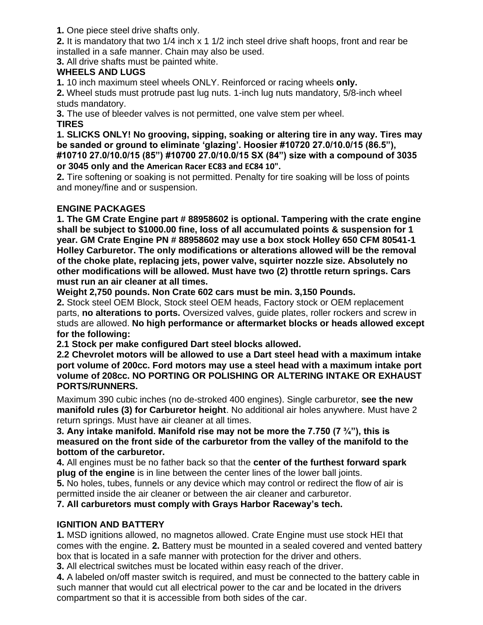**1.** One piece steel drive shafts only.

**2.** It is mandatory that two 1/4 inch x 1 1/2 inch steel drive shaft hoops, front and rear be installed in a safe manner. Chain may also be used.

**3.** All drive shafts must be painted white.

# **WHEELS AND LUGS**

**1.** 10 inch maximum steel wheels ONLY. Reinforced or racing wheels **only.**

**2.** Wheel studs must protrude past lug nuts. 1-inch lug nuts mandatory, 5/8-inch wheel studs mandatory.

**3.** The use of bleeder valves is not permitted, one valve stem per wheel. **TIRES**

**1. SLICKS ONLY! No grooving, sipping, soaking or altering tire in any way. Tires may be sanded or ground to eliminate 'glazing'. Hoosier #10720 27.0/10.0/15 (86.5"), #10710 27.0/10.0/15 (85") #10700 27.0/10.0/15 SX (84") size with a compound of 3035 or 3045 only and the American Racer EC83 and EC84 10".**

**2.** Tire softening or soaking is not permitted. Penalty for tire soaking will be loss of points and money/fine and or suspension.

# **ENGINE PACKAGES**

**1. The GM Crate Engine part # 88958602 is optional. Tampering with the crate engine shall be subject to \$1000.00 fine, loss of all accumulated points & suspension for 1 year. GM Crate Engine PN # 88958602 may use a box stock Holley 650 CFM 80541-1 Holley Carburetor. The only modifications or alterations allowed will be the removal of the choke plate, replacing jets, power valve, squirter nozzle size. Absolutely no other modifications will be allowed. Must have two (2) throttle return springs. Cars must run an air cleaner at all times.**

**Weight 2,750 pounds. Non Crate 602 cars must be min. 3,150 Pounds.**

**2.** Stock steel OEM Block, Stock steel OEM heads, Factory stock or OEM replacement parts, **no alterations to ports.** Oversized valves, guide plates, roller rockers and screw in studs are allowed. **No high performance or aftermarket blocks or heads allowed except for the following:**

**2.1 Stock per make configured Dart steel blocks allowed.**

**2.2 Chevrolet motors will be allowed to use a Dart steel head with a maximum intake port volume of 200cc. Ford motors may use a steel head with a maximum intake port volume of 208cc. NO PORTING OR POLISHING OR ALTERING INTAKE OR EXHAUST PORTS/RUNNERS.**

Maximum 390 cubic inches (no de-stroked 400 engines). Single carburetor, **see the new manifold rules (3) for Carburetor height**. No additional air holes anywhere. Must have 2 return springs. Must have air cleaner at all times.

**3. Any intake manifold. Manifold rise may not be more the 7.750 (7 ¾"), this is measured on the front side of the carburetor from the valley of the manifold to the bottom of the carburetor.**

**4.** All engines must be no father back so that the **center of the furthest forward spark plug of the engine** is in line between the center lines of the lower ball joints.

**5.** No holes, tubes, funnels or any device which may control or redirect the flow of air is permitted inside the air cleaner or between the air cleaner and carburetor.

**7. All carburetors must comply with Grays Harbor Raceway's tech.**

# **IGNITION AND BATTERY**

**1.** MSD ignitions allowed, no magnetos allowed. Crate Engine must use stock HEI that comes with the engine. **2.** Battery must be mounted in a sealed covered and vented battery box that is located in a safe manner with protection for the driver and others.

**3.** All electrical switches must be located within easy reach of the driver.

**4.** A labeled on/off master switch is required, and must be connected to the battery cable in such manner that would cut all electrical power to the car and be located in the drivers compartment so that it is accessible from both sides of the car.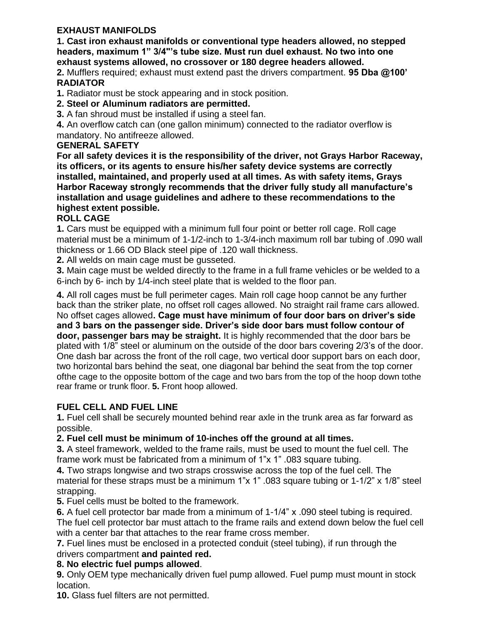# **EXHAUST MANIFOLDS**

**1. Cast iron exhaust manifolds or conventional type headers allowed, no stepped headers, maximum 1" 3/4"'s tube size. Must run duel exhaust. No two into one exhaust systems allowed, no crossover or 180 degree headers allowed.**

**2.** Mufflers required; exhaust must extend past the drivers compartment. **95 Dba @100' RADIATOR**

**1.** Radiator must be stock appearing and in stock position.

**2. Steel or Aluminum radiators are permitted.**

**3.** A fan shroud must be installed if using a steel fan.

**4.** An overflow catch can (one gallon minimum) connected to the radiator overflow is mandatory. No antifreeze allowed.

# **GENERAL SAFETY**

**For all safety devices it is the responsibility of the driver, not Grays Harbor Raceway, its officers, or its agents to ensure his/her safety device systems are correctly installed, maintained, and properly used at all times. As with safety items, Grays Harbor Raceway strongly recommends that the driver fully study all manufacture's installation and usage guidelines and adhere to these recommendations to the highest extent possible.**

# **ROLL CAGE**

**1.** Cars must be equipped with a minimum full four point or better roll cage. Roll cage material must be a minimum of 1-1/2-inch to 1-3/4-inch maximum roll bar tubing of .090 wall thickness or 1.66 OD Black steel pipe of .120 wall thickness.

**2.** All welds on main cage must be gusseted.

**3.** Main cage must be welded directly to the frame in a full frame vehicles or be welded to a 6-inch by 6- inch by 1/4-inch steel plate that is welded to the floor pan.

**4.** All roll cages must be full perimeter cages. Main roll cage hoop cannot be any further back than the striker plate, no offset roll cages allowed. No straight rail frame cars allowed. No offset cages allowed**. Cage must have minimum of four door bars on driver's side and 3 bars on the passenger side. Driver's side door bars must follow contour of door, passenger bars may be straight.** It is highly recommended that the door bars be plated with 1/8" steel or aluminum on the outside of the door bars covering 2/3's of the door. One dash bar across the front of the roll cage, two vertical door support bars on each door, two horizontal bars behind the seat, one diagonal bar behind the seat from the top corner ofthe cage to the opposite bottom of the cage and two bars from the top of the hoop down tothe rear frame or trunk floor. **5.** Front hoop allowed.

# **FUEL CELL AND FUEL LINE**

**1.** Fuel cell shall be securely mounted behind rear axle in the trunk area as far forward as possible.

**2. Fuel cell must be minimum of 10-inches off the ground at all times.**

**3.** A steel framework, welded to the frame rails, must be used to mount the fuel cell. The frame work must be fabricated from a minimum of 1"x 1" .083 square tubing.

**4.** Two straps longwise and two straps crosswise across the top of the fuel cell. The material for these straps must be a minimum 1"x 1" .083 square tubing or 1-1/2" x 1/8" steel strapping.

**5.** Fuel cells must be bolted to the framework.

**6.** A fuel cell protector bar made from a minimum of 1-1/4" x .090 steel tubing is required.

The fuel cell protector bar must attach to the frame rails and extend down below the fuel cell with a center bar that attaches to the rear frame cross member.

**7.** Fuel lines must be enclosed in a protected conduit (steel tubing), if run through the drivers compartment **and painted red.**

# **8. No electric fuel pumps allowed**.

**9.** Only OEM type mechanically driven fuel pump allowed. Fuel pump must mount in stock location.

**10.** Glass fuel filters are not permitted.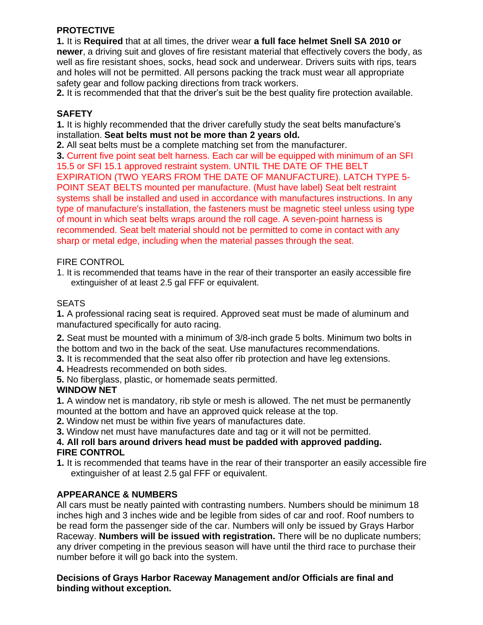# **PROTECTIVE**

**1.** It is **Required** that at all times, the driver wear **a full face helmet Snell SA 2010 or newer**, a driving suit and gloves of fire resistant material that effectively covers the body, as well as fire resistant shoes, socks, head sock and underwear. Drivers suits with rips, tears and holes will not be permitted. All persons packing the track must wear all appropriate safety gear and follow packing directions from track workers.

**2.** It is recommended that that the driver's suit be the best quality fire protection available.

# **SAFETY**

**1.** It is highly recommended that the driver carefully study the seat belts manufacture's installation. **Seat belts must not be more than 2 years old.**

**2.** All seat belts must be a complete matching set from the manufacturer.

**3.** Current five point seat belt harness. Each car will be equipped with minimum of an SFI 15.5 or SFI 15.1 approved restraint system. UNTIL THE DATE OF THE BELT EXPIRATION (TWO YEARS FROM THE DATE OF MANUFACTURE). LATCH TYPE 5- POINT SEAT BELTS mounted per manufacture. (Must have label) Seat belt restraint systems shall be installed and used in accordance with manufactures instructions. In any type of manufacture's installation, the fasteners must be magnetic steel unless using type of mount in which seat belts wraps around the roll cage. A seven-point harness is recommended. Seat belt material should not be permitted to come in contact with any sharp or metal edge, including when the material passes through the seat.

# FIRE CONTROL

1. It is recommended that teams have in the rear of their transporter an easily accessible fire extinguisher of at least 2.5 gal FFF or equivalent.

# **SEATS**

**1.** A professional racing seat is required. Approved seat must be made of aluminum and manufactured specifically for auto racing.

**2.** Seat must be mounted with a minimum of 3/8-inch grade 5 bolts. Minimum two bolts in the bottom and two in the back of the seat. Use manufactures recommendations.

**3.** It is recommended that the seat also offer rib protection and have leg extensions.

**4.** Headrests recommended on both sides.

**5.** No fiberglass, plastic, or homemade seats permitted.

# **WINDOW NET**

**1.** A window net is mandatory, rib style or mesh is allowed. The net must be permanently mounted at the bottom and have an approved quick release at the top.

**2.** Window net must be within five years of manufactures date.

**3.** Window net must have manufactures date and tag or it will not be permitted.

# **4. All roll bars around drivers head must be padded with approved padding. FIRE CONTROL**

**1.** It is recommended that teams have in the rear of their transporter an easily accessible fire extinguisher of at least 2.5 gal FFF or equivalent.

# **APPEARANCE & NUMBERS**

All cars must be neatly painted with contrasting numbers. Numbers should be minimum 18 inches high and 3 inches wide and be legible from sides of car and roof. Roof numbers to be read form the passenger side of the car. Numbers will only be issued by Grays Harbor Raceway. **Numbers will be issued with registration.** There will be no duplicate numbers; any driver competing in the previous season will have until the third race to purchase their number before it will go back into the system.

# **Decisions of Grays Harbor Raceway Management and/or Officials are final and binding without exception.**